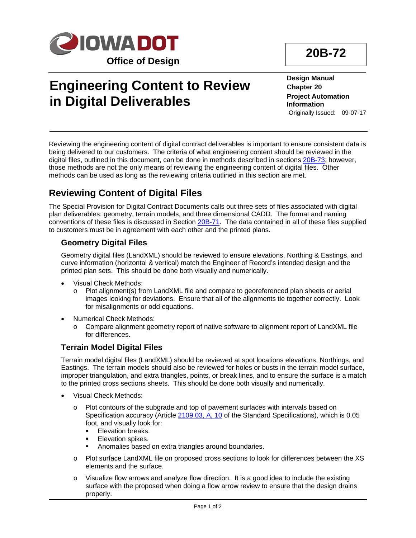

# **Engineering Content to Review in Digital Deliverables**

**Design Manual Chapter 20 Project Automation Information** Originally Issued: 09-07-17

Reviewing the engineering content of digital contract deliverables is important to ensure consistent data is being delivered to our customers. The criteria of what engineering content should be reviewed in the digital files, outlined in this document, can be done in methods described in sections 20B-73; however, those methods are not the only means of reviewing the engineering content of digital files. Other methods can be used as long as the reviewing criteria outlined in this section are met.

### **Reviewing Content of Digital Files**

The Special Provision for Digital Contract Documents calls out three sets of files associated with digital plan deliverables: geometry, terrain models, and three dimensional CADD. The format and naming conventions of these files is discussed in Section 20B-71. The data contained in all of these files supplied to customers must be in agreement with each other and the printed plans.

#### **Geometry Digital Files**

Geometry digital files (LandXML) should be reviewed to ensure elevations, Northing & Eastings, and curve information (horizontal & vertical) match the Engineer of Record's intended design and the printed plan sets. This should be done both visually and numerically.

- Visual Check Methods:
	- o Plot alignment(s) from LandXML file and compare to georeferenced plan sheets or aerial images looking for deviations. Ensure that all of the alignments tie together correctly. Look for misalignments or odd equations.
- Numerical Check Methods:
	- o Compare alignment geometry report of native software to alignment report of LandXML file for differences.

#### **Terrain Model Digital Files**

Terrain model digital files (LandXML) should be reviewed at spot locations elevations, Northings, and Eastings. The terrain models should also be reviewed for holes or busts in the terrain model surface, improper triangulation, and extra triangles, points, or break lines, and to ensure the surface is a match to the printed cross sections sheets. This should be done both visually and numerically.

- Visual Check Methods:
	- o Plot contours of the subgrade and top of pavement surfaces with intervals based on Specification accuracy (Article 2109.03, A, 10 of the Standard Specifications), which is 0.05 foot, and visually look for:
		- **Elevation breaks.**
		- **Elevation spikes.**
		- **Anomalies based on extra triangles around boundaries.**
	- o Plot surface LandXML file on proposed cross sections to look for differences between the XS elements and the surface.
	- o Visualize flow arrows and analyze flow direction. It is a good idea to include the existing surface with the proposed when doing a flow arrow review to ensure that the design drains properly.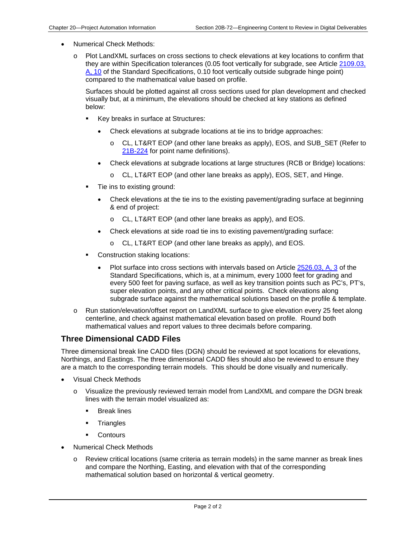- Numerical Check Methods:
	- o Plot LandXML surfaces on cross sections to check elevations at key locations to confirm that they are within Specification tolerances (0.05 foot vertically for subgrade, see Article 2109.03, A, 10 of the Standard Specifications, 0.10 foot vertically outside subgrade hinge point) compared to the mathematical value based on profile.

Surfaces should be plotted against all cross sections used for plan development and checked visually but, at a minimum, the elevations should be checked at key stations as defined below:

- Key breaks in surface at Structures:
	- Check elevations at subgrade locations at tie ins to bridge approaches:
		- o CL, LT&RT EOP (and other lane breaks as apply), EOS, and SUB\_SET (Refer to 21B-224 for point name definitions).
	- Check elevations at subgrade locations at large structures (RCB or Bridge) locations:
		- o CL, LT&RT EOP (and other lane breaks as apply), EOS, SET, and Hinge.
- Tie ins to existing ground:
	- Check elevations at the tie ins to the existing pavement/grading surface at beginning & end of project:
		- o CL, LT&RT EOP (and other lane breaks as apply), and EOS.
	- Check elevations at side road tie ins to existing pavement/grading surface:
		- o CL, LT&RT EOP (and other lane breaks as apply), and EOS.
- **Construction staking locations:** 
	- Plot surface into cross sections with intervals based on Article 2526.03, A, 3 of the Standard Specifications, which is, at a minimum, every 1000 feet for grading and every 500 feet for paving surface, as well as key transition points such as PC's, PT's, super elevation points, and any other critical points. Check elevations along subgrade surface against the mathematical solutions based on the profile & template.
- o Run station/elevation/offset report on LandXML surface to give elevation every 25 feet along centerline, and check against mathematical elevation based on profile. Round both mathematical values and report values to three decimals before comparing.

#### **Three Dimensional CADD Files**

Three dimensional break line CADD files (DGN) should be reviewed at spot locations for elevations, Northings, and Eastings. The three dimensional CADD files should also be reviewed to ensure they are a match to the corresponding terrain models. This should be done visually and numerically.

- Visual Check Methods
	- o Visualize the previously reviewed terrain model from LandXML and compare the DGN break lines with the terrain model visualized as:
		- Break lines
		- **Triangles**
		- **•** Contours
- Numerical Check Methods
	- o Review critical locations (same criteria as terrain models) in the same manner as break lines and compare the Northing, Easting, and elevation with that of the corresponding mathematical solution based on horizontal & vertical geometry.